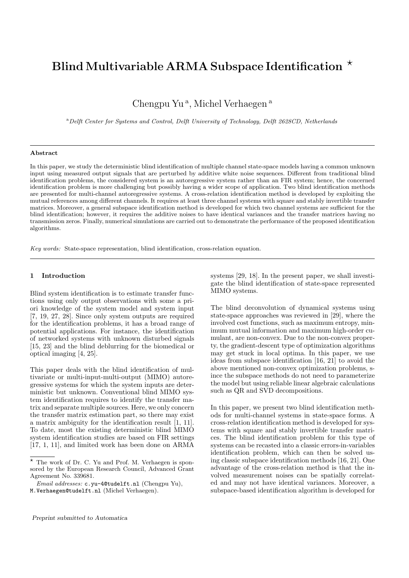# Blind Multivariable ARMA Subspace Identification  $\star$

Chengpu Yu<sup>a</sup>, Michel Verhaegen<sup>a</sup>

<sup>a</sup>*Delft Center for Systems and Control, Delft University of Technology, Delft 2628CD, Netherlands*

#### **Abstract**

In this paper, we study the deterministic blind identification of multiple channel state-space models having a common unknown input using measured output signals that are perturbed by additive white noise sequences. Different from traditional blind identification problems, the considered system is an autoregressive system rather than an FIR system; hence, the concerned identification problem is more challenging but possibly having a wider scope of application. Two blind identification methods are presented for multi-channel autoregressive systems. A cross-relation identification method is developed by exploiting the mutual references among different channels. It requires at least three channel systems with square and stably invertible transfer matrices. Moreover, a general subspace identification method is developed for which two channel systems are sufficient for the blind identification; however, it requires the additive noises to have identical variances and the transfer matrices having no transmission zeros. Finally, numerical simulations are carried out to demonstrate the performance of the proposed identification algorithms.

*Key words:* State-space representation, blind identification, cross-relation equation.

## **1 Introduction**

Blind system identification is to estimate transfer functions using only output observations with some a priori knowledge of the system model and system input [7, 19, 27, 28]. Since only system outputs are required for the identification problems, it has a broad range of potential applications. For instance, the identification of networked systems with unknown disturbed signals [15, 23] and the blind deblurring for the biomedical or optical imaging [4, 25].

This paper deals with the blind identification of multivariate or multi-input-multi-output (MIMO) autoregressive systems for which the system inputs are deterministic but unknown. Conventional blind MIMO system identification requires to identify the transfer matrix and separate multiple sources. Here, we only concern the transfer matrix estimation part, so there may exist a matrix ambiguity for the identification result [1, 11]. To date, most the existing deterministic blind MIMO system identification studies are based on FIR settings [17, 1, 11], and limited work has been done on ARMA

systems [29, 18]. In the present paper, we shall investigate the blind identification of state-space represented MIMO systems.

The blind deconvolution of dynamical systems using state-space approaches was reviewed in [29], where the involved cost functions, such as maximum entropy, minimum mutual information and maximum high-order cumulant, are non-convex. Due to the non-convex property, the gradient-descent type of optimization algorithms may get stuck in local optima. In this paper, we use ideas from subspace identification [16, 21] to avoid the above mentioned non-convex optimization problems, since the subspace methods do not need to parameterize the model but using reliable linear algebraic calculations such as QR and SVD decompositions.

In this paper, we present two blind identification methods for multi-channel systems in state-space forms. A cross-relation identification method is developed for systems with square and stably invertible transfer matrices. The blind identification problem for this type of systems can be recasted into a classic errors-in-variables identification problem, which can then be solved using classic subspace identification methods [16, 21]. One advantage of the cross-relation method is that the involved measurement noises can be spatially correlated and may not have identical variances. Moreover, a subspace-based identification algorithm is developed for

The work of Dr. C. Yu and Prof. M. Verhaegen is sponsored by the European Research Council, Advanced Grant Agreement No. 339681.

*Email addresses:* c.yu-4@tudelft.nl (Chengpu Yu), M.Verhaegen@tudelft.nl (Michel Verhaegen).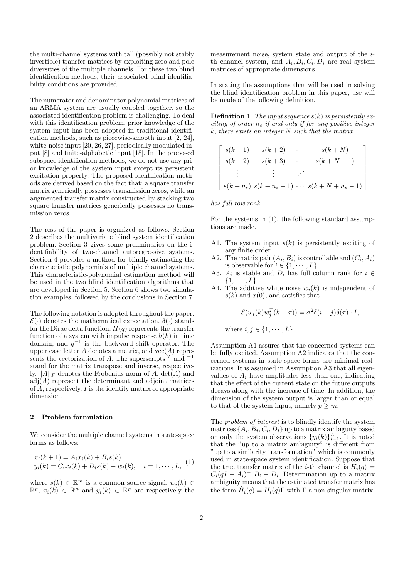the multi-channel systems with tall (possibly not stably invertible) transfer matrices by exploiting zero and pole diversities of the multiple channels. For these two blind identification methods, their associated blind identifiability conditions are provided.

The numerator and denominator polynomial matrices of an ARMA system are usually coupled together, so the associated identification problem is challenging. To deal with this identification problem, prior knowledge of the system input has been adopted in traditional identification methods, such as piecewise-smooth input [2, 24], white-noise input [20, 26, 27], periodically modulated input [8] and finite-alphabetic input [18]. In the proposed subspace identification methods, we do not use any prior knowledge of the system input except its persistent excitation property. The proposed identification methods are derived based on the fact that: a square transfer matrix generically possesses transmission zeros, while an augmented transfer matrix constructed by stacking two square transfer matrices generically possesses no transmission zeros.

The rest of the paper is organized as follows. Section 2 describes the multivariate blind system identification problem. Section 3 gives some preliminaries on the identifiability of two-channel autoregressive systems. Section 4 provides a method for blindly estimating the characteristic polynomials of multiple channel systems. This characteristic-polynomial estimation method will be used in the two blind identification algorithms that are developed in Section 5. Section 6 shows two simulation examples, followed by the conclusions in Section 7.

The following notation is adopted throughout the paper.  $\mathcal{E}(\cdot)$  denotes the mathematical expectation.  $\delta(\cdot)$  stands for the Dirac delta function.  $H(q)$  represents the transfer function of a system with impulse response  $h(k)$  in time domain, and  $q^{-1}$  is the backward shift operator. The upper case letter *A* denotes a matrix, and vec(*A*) represents the vectorization of *A*. The superscripts *<sup>T</sup>* and *<sup>−</sup>*<sup>1</sup> stand for the matrix transpose and inverse, respectively. *∥A∥<sup>F</sup>* denotes the Frobenius norm of *A*. det(*A*) and  $adj(A)$  represent the determinant and adjoint matrices of *A*, respectively. *I* is the identity matrix of appropriate dimension.

#### **2 Problem formulation**

We consider the multiple channel systems in state-space forms as follows:

$$
x_i(k+1) = A_i x_i(k) + B_i s(k)
$$
  

$$
y_i(k) = C_i x_i(k) + D_i s(k) + w_i(k), \quad i = 1, \dots, L,
$$
 (1)

where  $s(k) \in \mathbb{R}^m$  is a common source signal,  $w_i(k) \in$  $\mathbb{R}^p$ ,  $x_i(k) \in \mathbb{R}^n$  and  $y_i(k) \in \mathbb{R}^p$  are respectively the measurement noise, system state and output of the *i*th channel system, and  $A_i, B_i, C_i, D_i$  are real system matrices of appropriate dimensions.

In stating the assumptions that will be used in solving the blind identification problem in this paper, use will be made of the following definition.

**Definition 1** *The input sequence s*(*k*) *is persistently exciting of order n<sup>s</sup> if and only if for any positive integer k, there exists an integer N such that the matrix*

$$
\begin{bmatrix}\ns(k+1) & s(k+2) & \cdots & s(k+N) \\
s(k+2) & s(k+3) & \cdots & s(k+N+1) \\
\vdots & \vdots & \ddots & \vdots \\
s(k+n_s) & s(k+n_s+1) & \cdots & s(k+N+n_s-1)\n\end{bmatrix}
$$

*has full row rank.*

For the systems in (1), the following standard assumptions are made.

- A1. The system input  $s(k)$  is persistently exciting of any finite order.
- A2. The matrix pair  $(A_i, B_i)$  is controllable and  $(C_i, A_i)$ is observable for  $i \in \{1, \dots, L\}$ .
- A3.  $A_i$  is stable and  $D_i$  has full column rank for  $i \in$ *{*1*, · · · , L}*.
- A4. The additive white noise  $w_i(k)$  is independent of  $s(k)$  and  $x(0)$ , and satisfies that

 $\mathcal{E}(w_i(k)w_j^T(k-\tau)) = \sigma^2\delta(i-j)\delta(\tau) \cdot I,$ 

where  $i, j \in \{1, \dots, L\}$ .

Assumption A1 assures that the concerned systems can be fully excited. Assumption A2 indicates that the concerned systems in state-space forms are minimal realizations. It is assumed in Assumption A3 that all eigenvalues of *A<sup>i</sup>* have amplitudes less than one, indicating that the effect of the current state on the future outputs decays along with the increase of time. In addition, the dimension of the system output is larger than or equal to that of the system input, namely  $p \geq m$ .

The *problem of interest* is to blindly identify the system matrices  $\{A_i, B_i, C_i, D_i\}$  up to a matrix ambiguity based on only the system observations  $\{y_i(k)\}_{i=1}^L$ . It is noted that the "up to a matrix ambiguity" is different from "up to a similarity transformation" which is commonly used in state-space system identification. Suppose that the true transfer matrix of the *i*-th channel is  $H_i(q)$  =  $C_i(qI - A_i)^{-1}B_i + D_i$ . Determination up to a matrix ambiguity means that the estimated transfer matrix has the form  $\hat{H}_i(q) = H_i(q)\Gamma$  with  $\Gamma$  a non-singular matrix,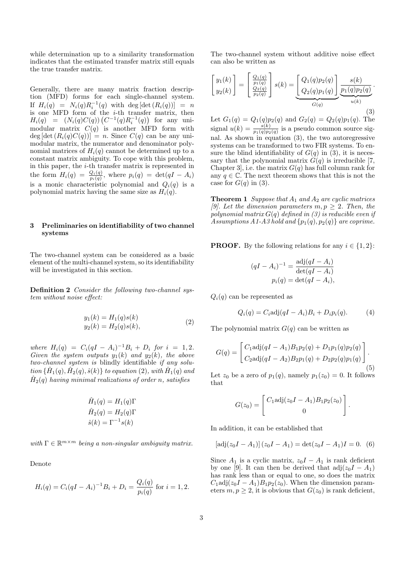while determination up to a similarity transformation indicates that the estimated transfer matrix still equals the true transfer matrix.

Generally, there are many matrix fraction description (MFD) forms for each single-channel system. If  $H_i(q) = N_i(q)R_i^{-1}(q)$  with deg  $[\det(R_i(q))] = n$ is one MFD form of the *i*-th transfer matrix, then  $H_i(q) = (N_i(q)C(q)) (C^{-1}(q)R_i^{-1}(q))$  for any unimodular matrix  $C(q)$  is another MFD form with  $deg [det (R_i(q)C(q))] = n$ . Since  $C(q)$  can be any unimodular matrix, the numerator and denominator polynomial matrices of  $H_i(q)$  cannot be determined up to a constant matrix ambiguity. To cope with this problem, in this paper, the *i*-th transfer matrix is represented in the form  $H_i(q) = \frac{Q_i(q)}{p_i(q)}$ , where  $p_i(q) = \det(qI - A_i)$ is a monic characteristic polynomial and  $Q_i(q)$  is a polynomial matrix having the same size as  $H_i(q)$ .

## **3 Preliminaries on identifiability of two channel systems**

The two-channel system can be considered as a basic element of the multi-channel system, so its identifiability will be investigated in this section.

**Definition 2** *Consider the following two-channel system without noise effect:*

$$
y_1(k) = H_1(q)s(k)
$$
  
\n
$$
y_2(k) = H_2(q)s(k),
$$
\n(2)

*where*  $H_i(q) = C_i(qI - A_i)^{-1}B_i + D_i$  *for*  $i = 1, 2$ *. Given the system outputs*  $y_1(k)$  *and*  $y_2(k)$ *, the above two-channel system is* blindly identifiable *if any solu-* $\{\hat{H}_1(q),\hat{H}_2(q),\hat{s}(k)\}\$ to equation (2), with  $\hat{H}_1(q)$  and  $\hat{H}_2(q)$  *having minimal realizations of order n, satisfies* 

$$
\hat{H}_1(q) = H_1(q)\Gamma
$$
  

$$
\hat{H}_2(q) = H_2(q)\Gamma
$$
  

$$
\hat{s}(k) = \Gamma^{-1}s(k)
$$

 $with \Gamma \in \mathbb{R}^{m \times m}$  *being a non-singular ambiguity matrix.* 

Denote

$$
H_i(q) = C_i (qI - A_i)^{-1} B_i + D_i = \frac{Q_i(q)}{p_i(q)}
$$
 for  $i = 1, 2$ .

The two-channel system without additive noise effect can also be written as

$$
\begin{bmatrix} y_1(k) \\ y_2(k) \end{bmatrix} = \begin{bmatrix} \frac{Q_1(q)}{p_1(q)} \\ \frac{Q_2(q)}{p_2(q)} \end{bmatrix} s(k) = \underbrace{\begin{bmatrix} Q_1(q)p_2(q) \\ Q_2(q)p_1(q) \end{bmatrix}}_{G(q)} \underbrace{\frac{s(k)}{p_1(q)p_2(q)}}_{u(k)}.
$$
\n
$$
(3)
$$

Let  $G_1(q) = Q_1(q)p_2(q)$  and  $G_2(q) = Q_2(q)p_1(q)$ . The signal  $u(k) = \frac{s(k)}{p_1(q)p_2(q)}$  is a pseudo common source signal. As shown in equation (3), the two autoregressive systems can be transformed to two FIR systems. To ensure the blind identifiability of  $G(q)$  in (3), it is necessary that the polynomial matrix  $G(q)$  is irreducible [7, Chapter 3, i.e. the matrix  $G(q)$  has full column rank for any  $q \in \mathbb{C}$ . The next theorem shows that this is not the case for  $G(q)$  in (3).

**Theorem 1** *Suppose that A*<sup>1</sup> *and A*<sup>2</sup> *are cyclic matrices [9]. Let the dimension parameters*  $m, p \geq 2$ *. Then, the polynomial matrix G*(*q*) *defined in (3) is reducible even if Assumptions A1-A3 hold and*  $\{p_1(q), p_2(q)\}$  *are coprime.* 

**PROOF.** By the following relations for any  $i \in \{1, 2\}$ :

$$
(qI - A_i)^{-1} = \frac{\text{adj}(qI - A_i)}{\text{det}(qI - A_i)}
$$

$$
p_i(q) = \text{det}(qI - A_i),
$$

 $Q_i(q)$  can be represented as

$$
Q_i(q) = C_i \text{adj}(qI - A_i)B_i + D_i p_i(q). \tag{4}
$$

The polynomial matrix  $G(q)$  can be written as

$$
G(q) = \begin{bmatrix} C_1 \text{adj}(qI - A_1)B_1p_2(q) + D_1p_1(q)p_2(q) \\ C_2 \text{adj}(qI - A_2)B_2p_1(q) + D_2p_2(q)p_1(q) \end{bmatrix}.
$$
\n(5)

Let  $z_0$  be a zero of  $p_1(q)$ , namely  $p_1(z_0) = 0$ . It follows that

$$
G(z_0) = \begin{bmatrix} C_1 \text{adj}(z_0 I - A_1) B_1 p_2(z_0) \\ 0 \end{bmatrix}.
$$

In addition, it can be established that

$$
[\text{adj}(z_0I - A_1)] (z_0I - A_1) = \det(z_0I - A_1)I = 0. (6)
$$

Since  $A_1$  is a cyclic matrix,  $z_0I - A_1$  is rank deficient by one [9]. It can then be derived that  $\text{adj}(z_0I - A_1)$ has rank less than or equal to one, so does the matrix  $C_1$ adj( $z_0I - A_1$ ) $B_1p_2(z_0)$ . When the dimension parameters  $m, p \geq 2$ , it is obvious that  $G(z_0)$  is rank deficient,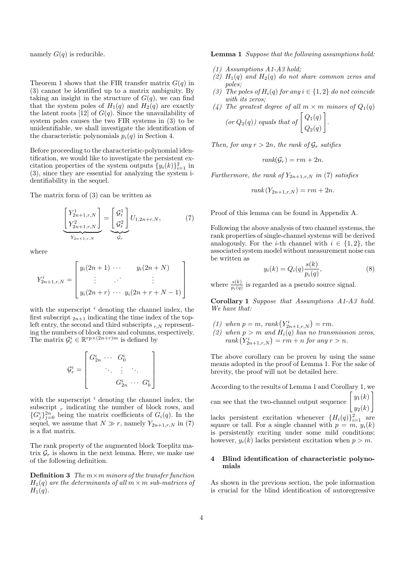namely  $G(q)$  is reducible.

Theorem 1 shows that the FIR transfer matrix  $G(q)$  in (3) cannot be identified up to a matrix ambiguity. By taking an insight in the structure of  $G(q)$ , we can find that the system poles of  $H_1(q)$  and  $H_2(q)$  are exactly the latent roots [12] of  $G(q)$ . Since the unavailability of system poles causes the two FIR systems in (3) to be unidentifiable, we shall investigate the identification of the characteristic polynomials  $p_i(q)$  in Section 4.

Before proceeding to the characteristic-polynomial identification, we would like to investigate the persistent excitation properties of the system outputs  $\{y_i(k)\}_{i=1}^2$  in (3), since they are essential for analyzing the system identifiability in the sequel.

The matrix form of (3) can be written as

$$
\underbrace{\begin{bmatrix} Y_{2n+1,r,N}^{1} \\ Y_{2n+1,r,N}^{2} \end{bmatrix}}_{Y_{2n+1,r,N}} = \underbrace{\begin{bmatrix} \mathcal{G}_{r}^{1} \\ \mathcal{G}_{r}^{2} \end{bmatrix}}_{\mathcal{G}_{r}} U_{1,2n+r,N}, \tag{7}
$$

where

$$
Y_{2n+1,r,N}^{i} = \begin{bmatrix} y_i(2n+1) & \cdots & y_i(2n+N) \\ \vdots & \cdots & \vdots \\ y_i(2n+r) & \cdots & y_i(2n+r+N-1) \end{bmatrix}
$$

with the superscript *<sup>i</sup>* denoting the channel index, the first subscript  $_{2n+1}$  indicating the time index of the topleft entry, the second and third subscripts  $r_N$  representing the numbers of block rows and columns, respectively. The matrix  $\mathcal{G}_r^i \in \mathbb{R}^{rp \times (2n+r)m}$  is defined by

$$
\mathcal{G}_r^i = \left[ \begin{array}{cccc} G_{2n}^i & \cdots & G_0^i & & \\ & \ddots & \vdots & \ddots & \\ & & G_{2n}^i & \cdots & G_0^i \end{array} \right]
$$

with the superscript *<sup>i</sup>* denoting the channel index, the subscript  $r$  indicating the number of block rows, and  ${G_i^i}_{j=0}^{2n}$  being the matrix coefficients of  $G_i(q)$ . In the sequel, we assume that  $N \gg r$ , namely  $Y_{2n+1,r,N}$  in (7) is a flat matrix.

The rank property of the augmented block Toeplitz matrix  $\mathcal{G}_r$  is shown in the next lemma. Here, we make use of the following definition.

**Definition 3** *The m×m minors of the transfer function*  $H_1(q)$  *are the determinants of all*  $m \times m$  *sub-matrices of*  $H_1(q)$ .

**Lemma 1** *Suppose that the following assumptions hold:*

- *(1) Assumptions A1-A3 hold;*
- *(2) H*1(*q*) *and H*2(*q*) *do not share common zeros and poles;*
- *(3) The poles of*  $H_i(q)$  *for any*  $i \in \{1, 2\}$  *do not coincide with its zeros;*
- *(4) The greatest degree of all*  $m \times m$  *minors of*  $Q_1(q)$

(or 
$$
Q_2(q)
$$
) equals that of  $\begin{bmatrix} Q_1(q) \\ Q_2(q) \end{bmatrix}$ .

*Then, for any*  $r > 2n$ *, the rank of*  $\mathcal{G}_r$  *satifies* 

$$
rank(\mathcal{G}_r) = rm + 2n.
$$

*Furthermore, the rank of*  $Y_{2n+1,r,N}$  *in* (7) *satisfies* 

$$
rank(Y_{2n+1,r,N}) = rm + 2n.
$$

Proof of this lemma can be found in Appendix A.

Following the above analysis of two channel systems, the rank properties of single-channel systems will be derived analogously. For the *i*-th channel with  $i \in \{1,2\}$ , the associated system model without measurement noise can be written as

$$
y_i(k) = Q_i(q) \frac{s(k)}{p_i(q)},\tag{8}
$$

where  $\frac{s(k)}{p_i(q)}$  is regarded as a pseudo source signal.

**Corollary 1** *Suppose that Assumptions A1-A3 hold. We have that:*

- (1) when  $p = m$ ,  $rank(Y_{2n+1,r,N}^i) = rm$ .
- *(2)* when  $p > m$  and  $H_i(q)$  has no transmission zeros,  $rank(Y_{2n+1,r,N}^i) = rm + n$  *for any*  $r > n$ *.*

The above corollary can be proven by using the same means adopted in the proof of Lemma 1. For the sake of brevity, the proof will not be detailed here.

According to the results of Lemma 1 and Corollary 1, we can see that the two-channel output sequence  $\begin{bmatrix} y_1(k) \\ y_2(k) \end{bmatrix}$  $y_2(k)$ ] lacks persistent excitation whenever  ${H_i(q)}_{i=1}^2$  are

square or tall. For a single channel with  $p = m$ ,  $y_i(k)$ is persistently exciting under some mild conditions; however,  $y_i(k)$  lacks persistent excitation when  $p > m$ .

## **4 Blind identification of characteristic polynomials**

As shown in the previous section, the pole information is crucial for the blind identification of autoregressive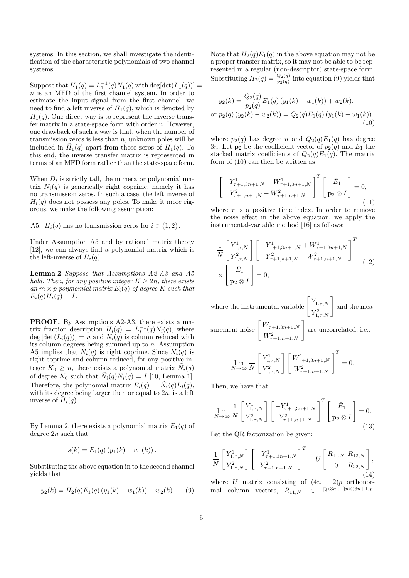systems. In this section, we shall investigate the identification of the characteristic polynomials of two channel systems.

 $\text{Suppose that } H_1(q) = L_1^{-1}(q)N_1(q) \text{ with } \text{deg}[\text{det}(L_1(q))] =$ *n* is an MFD of the first channel system. In order to estimate the input signal from the first channel, we need to find a left inverse of  $H_1(q)$ , which is denoted by  $\tilde{H}_1(q)$ . One direct way is to represent the inverse transfer matrix in a state-space form with order *n*. However, one drawback of such a way is that, when the number of transmission zeros is less than *n*, unknown poles will be included in  $\tilde{H}_1(q)$  apart from those zeros of  $H_1(q)$ . To this end, the inverse transfer matrix is represented in terms of an MFD form rather than the state-space form.

When  $D_i$  is strictly tall, the numerator polynomial matrix  $N_i(q)$  is generically right coprime, namely it has no transmission zeros. In such a case, the left inverse of  $H_i(q)$  does not possess any poles. To make it more rigorous, we make the following assumption:

A5. *H*<sub>*i*</sub>(*q*) has no transmission zeros for  $i \in \{1, 2\}$ .

Under Assumption A5 and by rational matrix theory [12], we can always find a polynomial matrix which is the left-inverse of  $H_i(q)$ .

**Lemma 2** *Suppose that Assumptions A2-A3 and A5 hold. Then, for any positive integer*  $K \geq 2n$ *, there exists an*  $m \times p$  *polynomial matrix*  $E_i(q)$  *of degree*  $K$  *such that*  $E_i(q)H_i(q) = I.$ 

**PROOF.** By Assumptions A2-A3, there exists a matrix fraction description  $H_i(q) = L_i^{-1}(q)N_i(q)$ , where  $deg [det (L_i(q))] = n$  and  $N_i(q)$  is column reduced with its column degrees being summed up to *n*. Assumption A5 implies that  $N_i(q)$  is right coprime. Since  $N_i(q)$  is right coprime and column reduced, for any positive integer  $K_0 \geq n$ , there exists a polynomial matrix  $\tilde{N}_i(q)$ of degree  $K_0$  such that  $\tilde{N}_i(q)N_i(q) = I$  [10, Lemma 1]. Therefore, the polynomial matrix  $E_i(q) = \tilde{N}_i(q)L_i(q)$ , with its degree being larger than or equal to 2*n*, is a left inverse of  $H_i(q)$ .

By Lemma 2, there exists a polynomial matrix  $E_1(q)$  of degree 2*n* such that

$$
s(k) = E_1(q) (y_1(k) - w_1(k)).
$$

Substituting the above equation in to the second channel yields that

$$
y_2(k) = H_2(q)E_1(q)(y_1(k) - w_1(k)) + w_2(k).
$$
 (9)

Note that  $H_2(q)E_1(q)$  in the above equation may not be a proper transfer matrix, so it may not be able to be represented in a regular (non-descriptor) state-space form. Substituting  $H_2(q) = \frac{Q_2(q)}{p_2(q)}$  into equation (9) yields that

$$
y_2(k) = \frac{Q_2(q)}{p_2(q)} E_1(q) (y_1(k) - w_1(k)) + w_2(k),
$$
  
or  $p_2(q) (y_2(k) - w_2(k)) = Q_2(q) E_1(q) (y_1(k) - w_1(k)),$   
(10)

where  $p_2(q)$  has degree *n* and  $Q_2(q)E_1(q)$  has degree 3*n*. Let  $\mathbf{p}_2$  be the coefficient vector of  $p_2(q)$  and  $\overline{E}_1$  the stacked matrix coefficients of  $Q_2(q)E_1(q)$ . The matrix form of (10) can then be written as

$$
\begin{bmatrix} -Y_{\tau+1,3n+1,N}^1 + W_{\tau+1,3n+1,N}^1 \ X_{\tau+1,n+1,N}^2 - W_{\tau+1,n+1,N}^2 \end{bmatrix}^T \begin{bmatrix} \bar{E}_1 \ \mathbf{p}_2 \otimes I \end{bmatrix} = 0,
$$
\n(11)

where  $\tau$  is a positive time index. In order to remove the noise effect in the above equation, we apply the instrumental-variable method [16] as follows:

$$
\frac{1}{N} \begin{bmatrix} Y_{1,\tau,N}^1 \\ Y_{1,\tau,N}^2 \end{bmatrix} \begin{bmatrix} -Y_{\tau+1,3n+1,N}^1 + W_{\tau+1,3n+1,N}^1 \\ Y_{\tau+1,n+1,N}^2 - W_{\tau+1,n+1,N}^2 \end{bmatrix}^T
$$
\n
$$
\times \begin{bmatrix} \bar{E}_1 \\ \mathbf{p}_2 \otimes I \end{bmatrix} = 0,
$$
\n(12)

where the instrumental variable  $\begin{bmatrix} Y_{1,\tau,N}^1 \end{bmatrix}$  $Y^1_{1,\tau,N}$   $Y^2_{1,\tau,N}$ and the measurement noise  $W_{\tau+1,3n+1,N}^1$  $W^1_{\tau+1,3n+1,N}$ <br> $W^2_{\tau+1,n+1,N}$ are uncorrelated, i.e., lim *N→∞* 1 *N*  $\left[ Y_{1,\tau,N}^1 \right]$  $Y_{1,\tau,N}^1$   $\begin{bmatrix} W_{\tau}^1 \\ W_{\tau}^2 \end{bmatrix}$ *τ*+1*,*3*n*+1*,N*  $W^1_{\tau+1,3n+1,N}$ <sup>T</sup><br>  $W^2_{\tau+1,n+1,N}$ <sup>T</sup> = 0*.*

Then, we have that

$$
\lim_{N \to \infty} \frac{1}{N} \begin{bmatrix} Y_{1,\tau,N}^1 \\ Y_{1,\tau,N}^2 \end{bmatrix} \begin{bmatrix} -Y_{\tau+1,3n+1,N}^1 \\ Y_{\tau+1,n+1,N}^2 \end{bmatrix}^T \begin{bmatrix} \bar{E}_1 \\ \mathbf{p}_2 \otimes I \end{bmatrix} = 0.
$$
\n(13)

Let the QR factorization be given:

$$
\frac{1}{N} \begin{bmatrix} Y_{1,\tau,N}^1 \\ Y_{1,\tau,N}^2 \end{bmatrix} \begin{bmatrix} -Y_{\tau+1,3n+1,N}^1 \\ Y_{\tau+1,n+1,N}^2 \end{bmatrix}^T = U \begin{bmatrix} R_{11,N} & R_{12,N} \\ 0 & R_{22,N} \end{bmatrix},\tag{14}
$$

where *U* matrix consisting of  $(4n + 2)p$  orthonormal column vectors,  $R_{11,N} \in \mathbb{R}^{(3n+1)p \times (3n+1)p}$ ,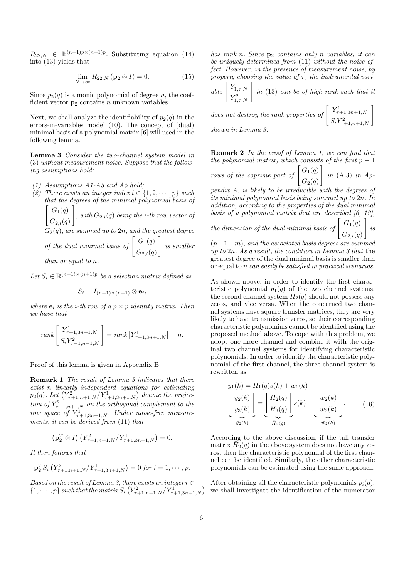$R_{22,N} \in \mathbb{R}^{(n+1)p \times (n+1)p}$ . Substituting equation (14) into (13) yields that

$$
\lim_{N \to \infty} R_{22,N} \left( \mathbf{p}_2 \otimes I \right) = 0. \tag{15}
$$

Since  $p_2(q)$  is a monic polynomial of degree *n*, the coefficient vector  $\mathbf{p}_2$  contains *n* unknown variables.

Next, we shall analyze the identifiability of  $p_2(q)$  in the errors-in-variables model (10). The concept of (dual) minimal basis of a polynomial matrix [6] will used in the following lemma.

**Lemma 3** *Consider the two-channel system model in* (3) *without measurement noise. Suppose that the following assumptions hold:*

*(1) Assumptions A1-A3 and A5 hold;*

*(2) There exists an integer index*  $i \in \{1, 2, \dots, p\}$  *such that the degrees of the minimal polynomial basis of*  $\int G_1(q)$  $G_{2,i}(q)$ ] *, with*  $G_{2,i}(q)$  *being the i*-th row vector of

*G*2(*q*)*, are summed up to* 2*n, and the greatest degree*

of the dual minimal basis of 
$$
\begin{bmatrix} G_1(q) \\ G_{2,i}(q) \end{bmatrix}
$$
 is smaller

*than or equal to n.*

Let  $S_i \in \mathbb{R}^{(n+1)\times(n+1)p}$  be a selection matrix defined as

$$
S_i = I_{(n+1)\times (n+1)} \otimes \mathbf{e}_i,
$$

*where*  $e_i$  *is the i*-th row of a  $p \times p$  *identity matrix. Then we have that*

$$
rank \left[ \begin{array}{c} Y^1_{\tau+1,3n+1,N} \\[0.8ex] {S_i}Y^2_{\tau+1,n+1,N} \end{array} \right] = rank \left[ Y^1_{\tau+1,3n+1,N} \right] + n.
$$

Proof of this lemma is given in Appendix B.

**Remark 1** *The result of Lemma 3 indicates that there exist n linearly independent equations for estimating*  $p_2(q)$ *. Let*  $(Y_{\tau+1,n+1,N}^2/Y_{\tau+1,3n+1,N}^1)$  denote the projec*tion of*  $Y_{\tau+1,n+1,N}^2$  *on the orthogonal complement to the row space of*  $Y_{\tau+1,3n+1,N}^1$ *. Under noise-free measurements, it can be derived from* (11) *that*

$$
\left(\mathbf{p}_2^T \otimes I\right) \left(Y_{\tau+1,n+1,N}^2/Y_{\tau+1,3n+1,N}^1\right) = 0.
$$

*It then follows that*

$$
\mathbf{p}_2^T S_i \left( Y_{\tau+1,n+1,N}^2 / Y_{\tau+1,3n+1,N}^1 \right) = 0 \text{ for } i = 1,\cdots,p.
$$

*Based on the result of Lemma 3, there exists an integer*  $i \in$  $\{1, \dots, p\}$  *such that the matrix*  $S_i\left(Y_{\tau+1,n+1,N}^2/Y_{\tau+1,3n+1,N}^1\right)$ 

*has rank n. Since* **p**<sup>2</sup> *contains only n variables, it can be uniquely determined from* (11) *without the noise effect. However, in the presence of measurement noise, by properly choosing the value of*  $\tau$ , the instrumental vari-

 $able \left[ Y^1_{1,\tau,N} \right]$  $Y^1_{1,\tau,N}$ <br>  $Y^2_{1,\tau,N}$ *in* (13) *can be of high rank such that it*

*does not destroy the rank properties of*  $\begin{bmatrix} Y_{\tau+1,3n+1,N}^1 \ Y_{\tau+1,3n+1,N}^1 \end{bmatrix}$  $\left[ \begin{array}{c} Y^1_{\tau+1,3n+1,N} \\ S_i Y^2_{\tau+1,n+1,N} \end{array} \right]$ *shown in Lemma 3.*

**Remark 2** *In the proof of Lemma 1, we can find that the polynomial matrix, which consists of the first*  $p + 1$ *rows of the coprime part of*  $\left[G_1(q)\right]$  $G_2(q)$ ] *in* (A.3) *in Ap-*

*pendix A, is likely to be irreducible with the degrees of its minimal polynomial basis being summed up to* 2*n. In addition, according to the properties of the dual minimal basis of a polynomial matrix that are described [6, 12],*

the dimension of the dual minimal basis of 
$$
\begin{bmatrix} G_1(q) \\ G_{2,i}(q) \end{bmatrix}
$$
 is

(*p*+ 1*−m*)*, and the associated basis degrees are summed up to* 2*n. As a result, the condition in Lemma 3 that* the greatest degree of the dual minimal basis is smaller than or equal to *n can easily be satisfied in practical scenarios.*

As shown above, in order to identify the first characteristic polynomial  $p_1(q)$  of the two channel systems, the second channel system  $H_2(q)$  should not possess any zeros, and vice versa. When the concerned two channel systems have square transfer matrices, they are very likely to have transmission zeros, so their corresponding characteristic polynomials cannot be identified using the proposed method above. To cope with this problem, we adopt one more channel and combine it with the original two channel systems for identifying characteristic polynomials. In order to identify the characteristic polynomial of the first channel, the three-channel system is rewritten as

$$
y_1(k) = H_1(q)s(k) + w_1(k)
$$
  
\n
$$
\underbrace{\begin{bmatrix} y_2(k) \\ y_3(k) \end{bmatrix}}_{y_2(k)} = \underbrace{\begin{bmatrix} H_2(q) \\ H_3(q) \end{bmatrix}}_{\bar{H}_2(q)} s(k) + \underbrace{\begin{bmatrix} w_2(k) \\ w_3(k) \end{bmatrix}}_{\bar{w}_2(k)}.
$$
 (16)

According to the above discussion, if the tall transfer  $\widetilde{H}_2(q)$  in the above system does not have any zeros, then the characteristic polynomial of the first channel can be identified. Similarly, the other characteristic polynomials can be estimated using the same approach.

After obtaining all the characteristic polynomials  $p_i(q)$ , we shall investigate the identification of the numerator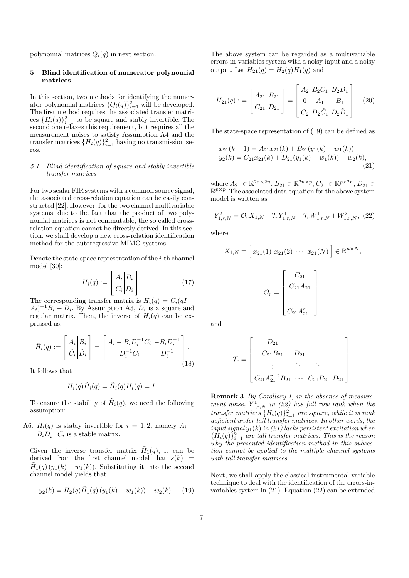polynomial matrices  $Q_i(q)$  in next section.

#### **5 Blind identification of numerator polynomial matrices**

In this section, two methods for identifying the numerator polynomial matrices  $\{Q_i(q)\}_{i=1}^2$  will be developed. The first method requires the associated transfer matrices  ${H_i(q)}_{i=1}^2$  to be square and stably invertible. The second one relaxes this requirement, but requires all the measurement noises to satisfy Assumption A4 and the transfer matrices  $\{H_i(q)\}_{i=1}^2$  having no transmission zeros.

## *5.1 Blind identification of square and stably invertible transfer matrices*

For two scalar FIR systems with a common source signal, the associated cross-relation equation can be easily constructed [22]. However, for the two channel multivariable systems, due to the fact that the product of two polynomial matrices is not commutable, the so called crossrelation equation cannot be directly derived. In this section, we shall develop a new cross-relation identification method for the autoregressive MIMO systems.

Denote the state-space representation of the *i*-th channel model [30]:

$$
H_i(q) := \left[\frac{A_i \mid B_i}{C_i \mid D_i}\right].
$$
\n(17)

The corresponding transfer matrix is  $H_i(q) = C_i(qI - qI)$  $(A_i)^{-1}B_i + D_i$ . By Assumption A3,  $D_i$  is a square and regular matrix. Then, the inverse of  $H_i(q)$  can be expressed as:

$$
\tilde{H}_i(q) := \left[\frac{\tilde{A}_i \left| \tilde{B}_i \right|}{\tilde{C}_i \left| \tilde{D}_i \right|} \right] = \left[\frac{A_i - B_i D_i^{-1} C_i \left| -B_i D_i^{-1} \right|}{D_i^{-1} C_i} \right].
$$
\n(18)

It follows that

$$
H_i(q)\tilde{H}_i(q) = \tilde{H}_i(q)H_i(q) = I.
$$

To ensure the stability of  $\tilde{H}_i(q)$ , we need the following assumption:

A6.  $H_i(q)$  is stably invertible for  $i = 1, 2$ , namely  $A_i$  –  $B_i D_i^{-1} C_i$  is a stable matrix.

Given the inverse transfer matrix  $H_1(q)$ , it can be derived from the first channel model that  $s(k)$  $\tilde{H}_1(q)(y_1(k) - w_1(k))$ . Substituting it into the second channel model yields that

$$
y_2(k) = H_2(q)\tilde{H}_1(q) (y_1(k) - w_1(k)) + w_2(k).
$$
 (19)

The above system can be regarded as a multivariable errors-in-variables system with a noisy input and a noisy output. Let  $H_{21}(q) = H_2(q) \tilde{H}_1(q)$  and

$$
H_{21}(q) := \begin{bmatrix} A_{21} | B_{21} \\ \hline C_{21} | D_{21} \end{bmatrix} = \begin{bmatrix} A_2 & B_2 \tilde{C}_1 | B_2 \tilde{D}_1 \\ 0 & \tilde{A}_1 | \tilde{B}_1 \\ \hline C_2 & D_2 \tilde{C}_1 | D_2 \tilde{D}_1 \end{bmatrix} . (20)
$$

The state-space representation of (19) can be defined as

$$
x_{21}(k+1) = A_{21}x_{21}(k) + B_{21}(y_1(k) - w_1(k))
$$
  
\n
$$
y_2(k) = C_{21}x_{21}(k) + D_{21}(y_1(k) - w_1(k)) + w_2(k),
$$
\n(21)

 $\mathbb{R}^{2n \times 2n}$ ,  $B_{21} \in \mathbb{R}^{2n \times p}$ ,  $C_{21} \in \mathbb{R}^{p \times 2n}$ ,  $D_{21} \in \mathbb{R}^{p \times 2n}$ R *p×p* . The associated data equation for the above system model is written as

$$
Y_{1,r,N}^2 = \mathcal{O}_r X_{1,N} + \mathcal{T}_r Y_{1,r,N}^1 - \mathcal{T}_r W_{1,r,N}^1 + W_{1,r,N}^2, \tag{22}
$$

where

$$
X_{1,N} = \begin{bmatrix} x_{21}(1) & x_{21}(2) & \cdots & x_{21}(N) \end{bmatrix} \in \mathbb{R}^{n \times N},
$$

$$
\mathcal{O}_r = \begin{bmatrix} C_{21} \\ C_{21}A_{21} \\ \vdots \\ C_{21}A_{21}^{r-1} \end{bmatrix},
$$

and

$$
\mathcal{T}_r = \begin{bmatrix} D_{21} & & & \\ C_{21}B_{21} & D_{21} & & \\ \vdots & \ddots & \ddots & \\ C_{21}A_{21}^{r-2}B_{21} & \cdots & C_{21}B_{21} & D_{21} \end{bmatrix}
$$

*.*

**Remark 3** *By Corollary 1, in the absence of measurement noise,*  $Y_{1,r,N}^1$  *in (22) has full row rank when the transfer matrices*  $\{H_i(q)\}_{i=1}^2$  *are square, while it is rank deficient under tall transfer matrices. In other words, the input signal y*1(*k*) *in (21) lacks persistent excitation when*  ${ \{ \hat{H}_i(q) \}}_{i=1}^2$  *are tall transfer matrices. This is the reason why the presented identification method in this subsection cannot be applied to the multiple channel systems with tall transfer matrices.*

Next, we shall apply the classical instrumental-variable technique to deal with the identification of the errors-invariables system in (21). Equation (22) can be extended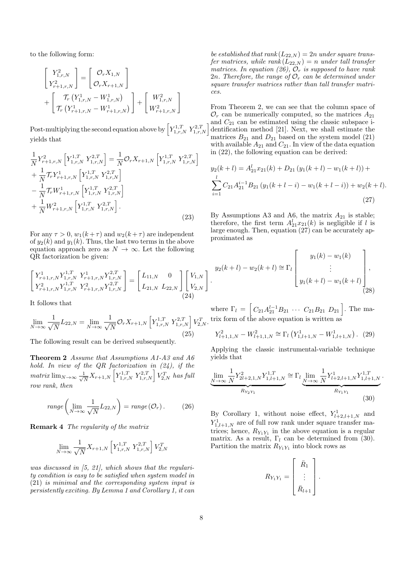to the following form:

$$
\begin{bmatrix}\nY_{1,r,N}^2 \\
Y_{r+1,r,N}^2\n\end{bmatrix} = \begin{bmatrix}\n\mathcal{O}_r X_{1,N} \\
\mathcal{O}_r X_{r+1,N}\n\end{bmatrix} + \begin{bmatrix}\n\mathcal{T}_r (Y_{1,r,N}^1 - W_{1,r,N}^1) \\
\mathcal{T}_r (Y_{r+1,r,N}^1 - W_{r+1,r,N}^1)\n\end{bmatrix} + \begin{bmatrix}\nW_{1,r,N}^2 \\
W_{r+1,r,N}^2\n\end{bmatrix}
$$

Post-multiplying the second equation above by  $\left[ Y^{1,T}_{1,r,N} Y^{2,T}_{1,r,N} \right]$ yields that

$$
\frac{1}{N} Y_{r+1,r,N}^{2} \left[ Y_{1,r,N}^{1,T} Y_{1,r,N}^{2,T} \right] = \frac{1}{N} \mathcal{O}_{r} X_{r+1,N} \left[ Y_{1,r,N}^{1,T} Y_{1,r,N}^{2,T} \right] \n+ \frac{1}{N} \mathcal{T}_{r} Y_{r+1,r,N}^{1} \left[ Y_{1,r,N}^{1,T} Y_{1,r,N}^{2,T} \right] \n- \frac{1}{N} \mathcal{T}_{r} W_{r+1,r,N}^{1} \left[ Y_{1,r,N}^{1,T} Y_{1,r,N}^{2,T} \right] \n+ \frac{1}{N} W_{r+1,r,N}^{2} \left[ Y_{1,r,N}^{1,T} Y_{1,r,N}^{2,T} \right].
$$
\n(23)

For any  $\tau > 0$ ,  $w_1(k+\tau)$  and  $w_2(k+\tau)$  are independent of  $y_2(k)$  and  $y_1(k)$ . Thus, the last two terms in the above equation approach zero as  $N \to \infty$ . Let the following QR factorization be given:

$$
\begin{bmatrix} Y_{r+1,r,N}^1 Y_{1,r,N}^1 & Y_{r+1,r,N}^1 Y_{1,r,N}^{2,T} \\ Y_{r+1,r,N}^2 Y_{1,r,N}^1 & Y_{r+1,r,N}^2 Y_{1,r,N}^{2,T} \end{bmatrix} = \begin{bmatrix} L_{11,N} & 0 \\ L_{21,N} & L_{22,N} \end{bmatrix} \begin{bmatrix} V_{1,N} \\ V_{2,N} \end{bmatrix}
$$
\n(24)

It follows that

$$
\lim_{N \to \infty} \frac{1}{\sqrt{N}} L_{22,N} = \lim_{N \to \infty} \frac{1}{\sqrt{N}} \mathcal{O}_r X_{r+1,N} \left[ Y_{1,r,N}^{1,T} Y_{1,r,N}^{2,T} \right] V_{2,N}^T.
$$
\n(25)

The following result can be derived subsequently.

**Theorem 2** *Assume that Assumptions A1-A3 and A6 hold. In view of the QR factorization in (24), if the matrix*  $\lim_{N\to\infty} \frac{1}{\sqrt{N}}$  $\frac{1}{N}X_{r+1,N}$   $\left[Y_{1,r,N}^{1,T} Y_{1,r,N}^{2,T}\right]V_{2,N}^{T}$  *has full row rank, then*

$$
range\left(\lim_{N\to\infty}\frac{1}{\sqrt{N}}L_{22,N}\right) = range\left(\mathcal{O}_r\right). \tag{26}
$$

**Remark 4** *The regularity of the matrix*

$$
\lim_{N \to \infty} \frac{1}{\sqrt{N}} X_{r+1,N} \left[ Y_{1,r,N}^{1,T} \ Y_{1,r,N}^{2,T} \right] V_{2,N}^T
$$

*was discussed in [5, 21], which shows that the regularity condition is easy to be satisfied when system model in* (21) *is minimal and the corresponding system input is persistently exciting. By Lemma 1 and Corollary 1, it can*

*be established that rank*  $(L_{22,N}) = 2n$  *under square transfer matrices, while rank*  $(L_{22,N}) = n$  *under tall transfer matrices. In equation (26), O<sup>r</sup> is supposed to have rank* 2*n.* Therefore, the range of  $\mathcal{O}_r$  *can be determined under square transfer matrices rather than tall transfer matrices.*

From Theorem 2, we can see that the column space of  $\mathcal{O}_r$  can be numerically computed, so the matrices  $A_{21}$ and  $C_{21}$  can be estimated using the classic subspace identification method [21]. Next, we shall estimate the matrices  $B_{21}$  and  $D_{21}$  based on the system model (21) with available  $A_{21}$  and  $C_{21}$ . In view of the data equation in (22), the following equation can be derived:

$$
y_2(k+l) = A_{21}^l x_{21}(k) + D_{21} (y_1(k+l) - w_1(k+l)) +
$$
  
\n
$$
\sum_{i=1}^l C_{21} A_{21}^{i-1} B_{21} (y_1(k+l-i) - w_1(k+l-i)) + w_2(k+l).
$$
\n(27)

By Assumptions A3 and A6, the matrix  $A_{21}$  is stable; therefore, the first term  $A_{21}^l x_{21}(k)$  is negligible if *l* is large enough. Then, equation (27) can be accurately approximated as

$$
y_2(k+l) - w_2(k+l) \approx \Gamma_l \begin{bmatrix} y_1(k) - w_1(k) \\ \vdots \\ y_1(k+l) - w_1(k+l) \end{bmatrix}
$$
, (28)

where  $\Gamma_l = \left[ C_{21} A_{21}^{l-1} B_{21} \cdots C_{21} B_{21} D_{21} \right]$ . The matrix form of the above equation is written as

$$
Y_{l+1,1,N}^2 - W_{l+1,1,N}^2 \cong \Gamma_l \left( Y_{1,l+1,N}^1 - W_{1,l+1,N}^1 \right). \tag{29}
$$

Applying the classic instrumental-variable technique yields that

$$
\underbrace{\lim_{N \to \infty} \frac{1}{N} Y_{2l+2,1,N}^{2} Y_{1,l+1,N}^{1,T}}_{R_{Y_2 Y_1}} \cong \Gamma_l \underbrace{\lim_{N \to \infty} \frac{1}{N} Y_{l+2,l+1,N}^{1} Y_{1,l+1,N}^{1,T}}_{R_{Y_1 Y_1}}.
$$
\n(30)

By Corollary 1, without noise effect,  $Y_{l+2,l+1,N}^1$  and  $Y_{1,l+1,N}^1$  are of full row rank under square transfer matrices; hence,  $R_{Y_1Y_1}$  in the above equation is a regular matrix. As a result,  $\Gamma_l$  can be determined from (30). Partition the matrix  $R_{Y_1Y_1}$  into block rows as

$$
R_{Y_1Y_1} = \begin{bmatrix} \bar{R}_1 \\ \vdots \\ \bar{R}_{l+1} \end{bmatrix}.
$$

*.*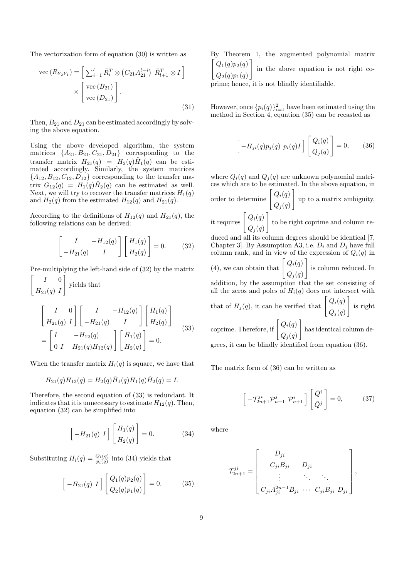The vectorization form of equation (30) is written as

$$
\text{vec}\left(R_{Y_2Y_1}\right) = \left[\sum_{i=1}^l \bar{R}_i^T \otimes \left(C_{21} A_{21}^{l-i}\right) \bar{R}_{l+1}^T \otimes I\right] \times \left[\begin{array}{c} \text{vec}\left(B_{21}\right) \\ \text{vec}\left(D_{21}\right) \end{array}\right].\tag{31}
$$

Then,  $B_{21}$  and  $D_{21}$  can be estimated accordingly by solving the above equation.

Using the above developed algorithm, the system matrices  $\{A_{21}, B_{21}, C_{21}, D_{21}\}$  corresponding to the transfer matrix  $H_{21}(q) = H_2(q) \tilde{H}_1(q)$  can be estimated accordingly. Similarly, the system matrices  ${A_{12}, B_{12}, C_{12}, D_{12}}$  corresponding to the transfer matrix  $G_{12}(q) = H_1(q) \tilde{H}_2(q)$  can be estimated as well. Next, we will try to recover the transfer matrices  $H_1(q)$ and  $H_2(q)$  from the estimated  $H_{12}(q)$  and  $H_{21}(q)$ .

According to the definitions of  $H_{12}(q)$  and  $H_{21}(q)$ , the following relations can be derived:

$$
\begin{bmatrix} I & -H_{12}(q) \\ -H_{21}(q) & I \end{bmatrix} \begin{bmatrix} H_1(q) \\ H_2(q) \end{bmatrix} = 0.
$$
 (32)

Pre-multiplying the left-hand side of (32) by the matrix

$$
\begin{bmatrix} I & 0 \ H_{21}(q) & I \end{bmatrix}
$$
 yields that  

$$
\begin{bmatrix} I & 0 \ H_{21}(q) & I \end{bmatrix} \begin{bmatrix} I & -H_{12}(q) \ -H_{21}(q) & I \end{bmatrix} \begin{bmatrix} H_1(q) \ H_2(q) \end{bmatrix}
$$

$$
= \begin{bmatrix} I & -H_{12}(q) \ 0 & I - H_{21}(q)H_{12}(q) \end{bmatrix} \begin{bmatrix} H_1(q) \ H_2(q) \end{bmatrix} = 0.
$$
 (33)

When the transfer matrix  $H_i(q)$  is square, we have that

$$
H_{21}(q)H_{12}(q) = H_2(q)\tilde{H}_1(q)H_1(q)\tilde{H}_2(q) = I.
$$

Therefore, the second equation of (33) is redundant. It indicates that it is unnecessary to estimate  $H_{12}(q)$ . Then, equation (32) can be simplified into

$$
\begin{bmatrix} -H_{21}(q) & I \end{bmatrix} \begin{bmatrix} H_1(q) \\ H_2(q) \end{bmatrix} = 0.
$$
 (34)

Substituting  $H_i(q) = \frac{Q_i(q)}{p_i(q)}$  into (34) yields that

$$
\begin{bmatrix} -H_{21}(q) & I \end{bmatrix} \begin{bmatrix} Q_1(q)p_2(q) \\ Q_2(q)p_1(q) \end{bmatrix} = 0.
$$
 (35)

By Theorem 1, the augmented polynomial matrix  $\sqrt{ }$  $Q_1(q)p_2(q)$  $Q_2(q)p_1(q)$ in the above equation is not right coprime; hence, it is not blindly identifiable.

However, once  ${p_i(q)}_{i=1}^2$  have been estimated using the method in Section 4, equation (35) can be recasted as

$$
\left[-H_{ji}(q)p_j(q) p_i(q)I\right] \begin{bmatrix} Q_i(q) \\ Q_j(q) \end{bmatrix} = 0, \qquad (36)
$$

where  $Q_i(q)$  and  $Q_i(q)$  are unknown polynomial matrices which are to be estimated. In the above equation, in order to determine  $\begin{bmatrix} Q_i(q) \\ Q_i(q) \end{bmatrix}$  $Q_j(q)$ ] up to a matrix ambiguity, ]

it requires  $\left[ Q_i(q) \right]$  $Q_j(q)$ to be right coprime and column re-

duced and all its column degrees should be identical [7, Chapter 3]. By Assumption A3, i.e.  $D_i$  and  $D_j$  have full column rank, and in view of the expression of  $Q_i(q)$  in (4), we can obtain that  $\begin{bmatrix} Q_i(q) \\ Q_j(q) \end{bmatrix}$ ] is column reduced. In

 $Q_j(q)$ addition, by the assumption that the set consisting of all the zeros and poles of  $H_i(q)$  does not intersect with

that of 
$$
H_j(q)
$$
, it can be verified that  $\begin{bmatrix} Q_i(q) \\ Q_j(q) \end{bmatrix}$  is right

coprime. Therefore, if  $\left[Q_i(q)\right]$  $Q_j(q)$ ] has identical column degrees, it can be blindly identified from equation (36).

The matrix form of (36) can be written as

$$
\left[-\mathcal{T}_{2n+1}^{ji}\mathcal{P}_{n+1}^{j}\ \mathcal{P}_{n+1}^{i}\right]\left[\begin{matrix} \bar{Q}^{i} \\ \bar{Q}^{j} \end{matrix}\right] = 0, \tag{37}
$$

where

$$
\mathcal{T}_{2n+1}^{ji} = \begin{bmatrix} D_{ji} \\ C_{ji}B_{ji} & D_{ji} \\ \vdots & \ddots & \vdots \\ C_{ji}A_{ji}^{2n-1}B_{ji} & \cdots & C_{ji}B_{ji} D_{ji} \end{bmatrix},
$$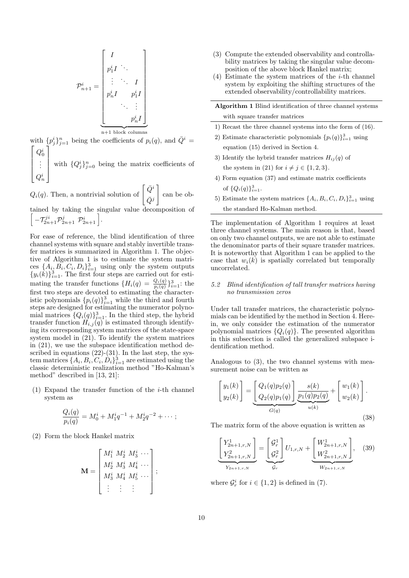$$
\mathcal{P}_{n+1}^i = \begin{bmatrix} I \\ p_1^i I & \ddots \\ \vdots & \ddots & I \\ p_n^i I & p_1^i I \\ \ddots & \vdots \\ \vdots & \ddots \\ p_n^{i} I \end{bmatrix}
$$

with  $\{p_j^i\}_{j=1}^n$  being the coefficients of  $p_i(q)$ , and  $\overline{Q}^i = \begin{bmatrix} \alpha & 1 \end{bmatrix}$ 

  $Q_0^i$ <br>  $\vdots$  $Q_n^i$  with  ${Q_j^i}_{j=0}^n$  being the matrix coefficients of

 $Q_i(q)$ . Then, a nontrivial solution of  $\begin{bmatrix} \bar{Q}^i \\ \bar{q}^i \end{bmatrix}$  $\bar{Q}^j$ ] can be obtained by taking the singular value decomposition of

 $\left[ -\mathcal{T}_{2n+1}^{ji} \mathcal{P}_{2n+1}^j \left[ \mathcal{P}_{2n+1}^i \right] \right].$ 

For ease of reference, the blind identification of three channel systems with square and stably invertible transfer matrices is summarized in Algorithm 1. The objective of Algorithm 1 is to estimate the system matrices  $\{A_i, B_i, C_i, D_i\}_{i=1}^3$  using only the system outputs  ${y_i(\hat{k})}_{i=1}^3$ . The first four steps are carried out for estimating the transfer functions  ${H_i(q) = \frac{Q_i(q)}{p_i(q)}\}_{i=1}^3$ : the first two steps are devoted to estimating the characteristic polynomials  ${p_i(q)}_{i=1}^3$  while the third and fourth steps are designed for estimating the numerator polynomial matrices  $\{Q_i(q)\}_{i=1}^3$ . In the third step, the hybrid transfer function  $H_{i,j}(q)$  is estimated through identifying its corresponding system matrices of the state-space system model in (21). To identify the system matrices in (21), we use the subspace identification method described in equations  $(22)-(31)$ . In the last step, the system matrices  $\{A_i, B_i, C_i, D_i\}_{i=1}^3$  are estimated using the classic deterministic realization method "Ho-Kalman's method" described in [13, 21]:

(1) Expand the transfer function of the *i*-th channel system as

$$
\frac{Q_i(q)}{p_i(q)} = M_0^i + M_1^i q^{-1} + M_2^i q^{-2} + \cdots ;
$$

(2) Form the block Hankel matrix

$$
\mathbf{M} = \begin{bmatrix} M_1^i & M_2^i & M_3^i & \cdots \\ M_2^i & M_3^i & M_4^i & \cdots \\ M_3^i & M_4^i & M_5^i & \cdots \\ \vdots & \vdots & \vdots & \vdots \end{bmatrix};
$$

- (3) Compute the extended observability and controllability matrices by taking the singular value decomposition of the above block Hankel matrix;
- (4) Estimate the system matrices of the *i*-th channel system by exploiting the shifting structures of the extended observability/controllability matrices.

**Algorithm 1** Blind identification of three channel systems with square transfer matrices

- 1) Recast the three channel systems into the form of (16).
- 2) Estimate characteristic polynomials  ${p_i(q)}_{i=1}^3$  using equation (15) derived in Section 4.
- 3) Identify the hybrid transfer matrices  $H_{ij}(q)$  of the system in (21) for  $i \neq j \in \{1, 2, 3\}$ .
- 4) Form equation (37) and estimate matrix coefficients of  $\{Q_i(q)\}_{i=1}^3$ .
- 5) Estimate the system matrices  $\{A_i, B_i, C_i, D_i\}_{i=1}^3$  using the standard Ho-Kalman method.

The implementation of Algorithm 1 requires at least three channel systems. The main reason is that, based on only two channel outputs, we are not able to estimate the denominator parts of their square transfer matrices. It is noteworthy that Algorithm 1 can be applied to the case that  $w_i(k)$  is spatially correlated but temporally uncorrelated.

#### *5.2 Blind identification of tall transfer matrices having no transmission zeros*

Under tall transfer matrices, the characteristic polynomials can be identified by the method in Section 4. Herein, we only consider the estimation of the numerator polynomial matrices  ${Q_i(q)}$ . The presented algorithm in this subsection is called the generalized subspace identification method.

Analogous to (3), the two channel systems with measurement noise can be written as

$$
\begin{bmatrix} y_1(k) \\ y_2(k) \end{bmatrix} = \underbrace{\begin{bmatrix} Q_1(q)p_2(q) \\ Q_2(q)p_1(q) \end{bmatrix}}_{G(q)} \underbrace{\frac{s(k)}{p_1(q)p_2(q)}}_{u(k)} + \begin{bmatrix} w_1(k) \\ w_2(k) \end{bmatrix}.
$$
\n(38)

The matrix form of the above equation is written as

$$
\underbrace{\begin{bmatrix} Y_{2n+1,r,N}^1 \\ Y_{2n+1,r,N}^2 \end{bmatrix}}_{Y_{2n+1,r,N}} = \underbrace{\begin{bmatrix} \mathcal{G}_r^1 \\ \mathcal{G}_r^2 \end{bmatrix}}_{\mathcal{G}_r} U_{1,r,N} + \underbrace{\begin{bmatrix} W_{2n+1,r,N}^1 \\ W_{2n+1,r,N}^2 \end{bmatrix}}_{W_{2n+1,r,N}},
$$
 (39)

where  $\mathcal{G}_r^i$  for  $i \in \{1, 2\}$  is defined in (7).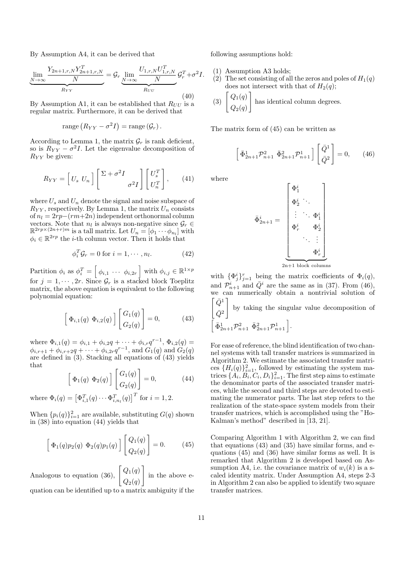By Assumption A4, it can be derived that

$$
\underbrace{\lim_{N \to \infty} \frac{Y_{2n+1,r,N} Y_{2n+1,r,N}^T}{N}}_{R_{YY}} = \mathcal{G}_r \underbrace{\lim_{N \to \infty} \frac{U_{1,r,N} U_{1,r,N}^T}{N}}_{R_{UU}} \mathcal{G}_r^T + \sigma^2 I.
$$
\n(40)

By Assumption A1, it can be established that  $R_{UU}$  is a regular matrix. Furthermore, it can be derived that

$$
range (R_{YY} - \sigma^2 I) = range (\mathcal{G}_r).
$$

According to Lemma 1, the matrix  $\mathcal{G}_r$  is rank deficient, so is  $R_{YY} - \sigma^2 I$ . Let the eigenvalue decomposition of *RY Y* be given:

$$
R_{YY} = \left[ U_s \ U_n \right] \left[ \frac{\Sigma + \sigma^2 I}{\sigma^2 I} \right] \left[ \frac{U_s^T}{U_n^T} \right], \qquad (41)
$$

where  $U_s$  and  $U_n$  denote the signal and noise subspace of  $R_{YY}$ , respectively. By Lemma 1, the matrix  $U_n$  consists of  $n_l = 2rp-(rm+2n)$  independent orthonormal column vectors. Note that  $n_l$  is always non-negative since  $\mathcal{G}_r \in$  $\mathbb{R}^{2rp \times (2n+r)m}$  is a tall matrix. Let  $U_n = [\phi_1 \cdots \phi_{n_l}]$  with  $\phi_i \in \mathbb{R}^{2rp}$  the *i*-th column vector. Then it holds that

$$
\phi_i^T \mathcal{G}_r = 0 \text{ for } i = 1, \cdots, n_l. \tag{42}
$$

Partition  $\phi_i$  as  $\phi_i^T = \begin{bmatrix} \phi_{i,1} & \cdots & \phi_{i,2r} \end{bmatrix}$  with  $\phi_{i,j} \in \mathbb{R}^{1 \times p}$ for  $j = 1, \dots, 2r$ . Since  $\mathcal{G}_r$  is a stacked block Toeplitz matrix, the above equation is equivalent to the following polynomial equation:

$$
\left[\Phi_{i,1}(q) \ \Phi_{i,2}(q)\right] \begin{bmatrix} G_1(q) \\ G_2(q) \end{bmatrix} = 0, \tag{43}
$$

where  $\Phi_{i,1}(q) = \phi_{i,1} + \phi_{i,2}q + \cdots + \phi_{i,r}q^{r-1}, \Phi_{i,2}(q) =$  $\phi_{i,r+1} + \phi_{i,r+2q} + \cdots + \phi_{i,2r}q^{r-1}$ , and  $G_1(q)$  and  $G_2(q)$ are defined in (3). Stacking all equations of (43) yields that

$$
\left[\Phi_1(q)\ \Phi_2(q)\right] \begin{bmatrix} G_1(q) \\ G_2(q) \end{bmatrix} = 0, \tag{44}
$$

where  $\Phi_i(q) = \left[ \Phi_{i,1}^T(q) \cdots \Phi_{i,n_l}^T(q) \right]^T$  for  $i = 1, 2$ .

When  ${p_i(q)}_{i=1}^2$  are available, substituting  $G(q)$  shown in (38) into equation (44) yields that

$$
\left[\Phi_1(q)p_2(q)\ \Phi_2(q)p_1(q)\right]\left[\begin{array}{c} Q_1(q) \\ Q_2(q) \end{array}\right] = 0. \tag{45}
$$

Analogous to equation (36),  $\left[Q_1(q)\right]$ *Q*2(*q*) ] in the above e-

quation can be identified up to a matrix ambiguity if the

following assumptions hold:

- (1) Assumption A3 holds;
- (2) The set consisting of all the zeros and poles of  $H_1(q)$ does not intersect with that of  $H_2(q)$ ;

(3) 
$$
\begin{bmatrix} Q_1(q) \\ Q_2(q) \end{bmatrix}
$$
 has identical column degrees.

The matrix form of (45) can be written as

$$
\left[\bar{\Phi}_{2n+1}^1 \mathcal{P}_{n+1}^2 \bar{\Phi}_{2n+1}^2 \mathcal{P}_{n+1}^1\right] \left[\frac{\bar{Q}^1}{\bar{Q}^2}\right] = 0, \qquad (46)
$$

where

$$
\bar{\Phi}_{2n+1}^i = \begin{bmatrix} \Phi_1^i & & \\ \Phi_2^i & \ddots & \\ & \vdots & \ddots & \Phi_1^i \\ & & \Phi_r^i & \Phi_2^i \\ & & \ddots & \vdots \\ & & & \Phi_r^i \end{bmatrix}
$$
  
2n+1 block columns

with  ${\lbrace \Phi_j^i \rbrace}_{j=1}^r$  being the matrix coefficients of  $\Phi_i(q)$ , and  $\mathcal{P}_{n+1}^i$  and  $\bar{Q}^i$  are the same as in (37). From (46), we can numerically obtain a nontrivial solution of  $\int \bar{Q}^1$ ]

 $\bar{Q}^2$ by taking the singular value decomposition of  $\Big[ \, \bar{\Phi}^1_{2n+1} \mathcal{P}^2_{n+1} \, \bar{\Phi}^2_{2n+1} \mathcal{P}^1_{n+1} \, \Big].$ 

For ease of reference, the blind identification of two channel systems with tall transfer matrices is summarized in Algorithm 2. We estimate the associated transfer matrices  $\{H_i(q)\}_{i=1}^2$ , followed by estimating the system matrices  $\{\widetilde{A}_i, \widetilde{B}_i, \widetilde{C}_i, D_i\}_{i=1}^2$ . The first step aims to estimate the denominator parts of the associated transfer matrices, while the second and third steps are devoted to estimating the numerator parts. The last step refers to the realization of the state-space system models from their transfer matrices, which is accomplished using the "Ho-Kalman's method" described in [13, 21].

Comparing Algorithm 1 with Algorithm 2, we can find that equations  $(43)$  and  $(35)$  have similar forms, and equations (45) and (36) have similar forms as well. It is remarked that Algorithm 2 is developed based on Assumption A4, i.e. the covariance matrix of  $w_i(k)$  is a scaled identity matrix. Under Assumption A4, steps 2-3 in Algorithm 2 can also be applied to identify two square transfer matrices.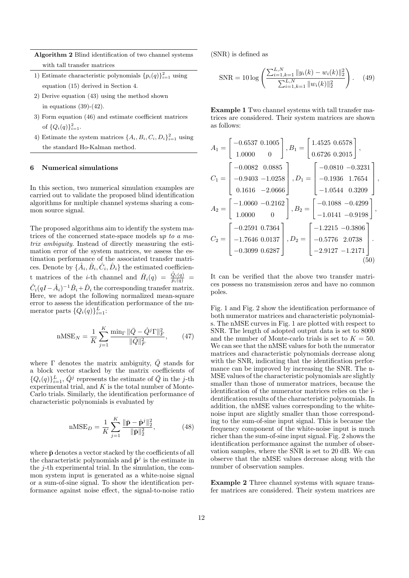**Algorithm 2** Blind identification of two channel systems with tall transfer matrices

- 1) Estimate characteristic polynomials  ${p_i(q)}_{i=1}^2$  using equation (15) derived in Section 4.
- 2) Derive equation (43) using the method shown in equations  $(39)-(42)$ .
- 3) Form equation (46) and estimate coefficient matrices of  $\{Q_i(q)\}_{i=1}^2$ .
- 4) Estimate the system matrices  $\{A_i, B_i, C_i, D_i\}_{i=1}^2$  using the standard Ho-Kalman method.

## **6 Numerical simulations**

In this section, two numerical simulation examples are carried out to validate the proposed blind identification algorithms for multiple channel systems sharing a common source signal.

The proposed algorithms aim to identify the system matrices of the concerned state-space models *up to a matrix ambiguity*. Instead of directly measuring the estimation error of the system matrices, we assess the estimation performance of the associated transfer matrices. Denote by  $\{\hat{A}_i, \hat{B}_i, \hat{C}_i, \hat{D}_i\}$  the estimated coefficient matrices of the *i*-th channel and  $\hat{H}_i(q) = \frac{\hat{Q}_i(q)}{\hat{p}_i(q)}$  $\hat{C}_i(qI - \hat{A}_i)^{-1}\hat{B}_i + \hat{D}_i$  the corresponding transfer matrix. Here, we adopt the following normalized mean-square error to assess the identification performance of the numerator parts  $\{Q_i(q)\}_{i=1}^L$ :

$$
\text{nMSE}_N = \frac{1}{K} \sum_{j=1}^K \frac{\min_{\Gamma} \|\bar{Q} - \hat{Q}^j \Gamma\|_F^2}{\|\bar{Q}\|_F^2},\qquad(47)
$$

where  $\Gamma$  denotes the matrix ambiguity,  $\overline{Q}$  stands for a block vector stacked by the matrix coefficients of  ${Q_i(q)}\}_{i=1}^L$ ,  $\hat{Q}^j$  represents the estimate of  $\bar{Q}$  in the *j*-th experimental trial, and  $K$  is the total number of Monte-Carlo trials. Similarly, the identification performance of characteristic polynomials is evaluated by

$$
nMSE_D = \frac{1}{K} \sum_{j=1}^{K} \frac{\|\bar{\mathbf{p}} - \hat{\mathbf{p}}^j\|_2^2}{\|\bar{\mathbf{p}}\|_2^2},
$$
(48)

where  $\bar{p}$  denotes a vector stacked by the coefficients of all the characteristic polynomials and  $\hat{p}^j$  is the estimate in the *j*-th experimental trial. In the simulation, the common system input is generated as a white-noise signal or a sum-of-sine signal. To show the identification performance against noise effect, the signal-to-noise ratio (SNR) is defined as

$$
\text{SNR} = 10 \log \left( \frac{\sum_{i=1, k=1}^{L, N} \|y_i(k) - w_i(k)\|_2^2}{\sum_{i=1, k=1}^{L, N} \|w_i(k)\|_2^2} \right). \tag{49}
$$

**Example 1** Two channel systems with tall transfer matrices are considered. Their system matrices are shown as follows:

$$
A_1 = \begin{bmatrix} -0.6537 & 0.1005 \\ 1.0000 & 0 \end{bmatrix}, B_1 = \begin{bmatrix} 1.4525 & 0.6578 \\ 0.6726 & 0.2015 \end{bmatrix},
$$
  
\n
$$
C_1 = \begin{bmatrix} -0.0082 & 0.0885 \\ -0.9403 & -1.0258 \\ 0.1616 & -2.0666 \end{bmatrix}, D_1 = \begin{bmatrix} -0.0810 & -0.3231 \\ -0.1936 & 1.7654 \\ -1.0544 & 0.3209 \end{bmatrix}
$$
  
\n
$$
A_2 = \begin{bmatrix} -1.0060 & -0.2162 \\ 1.0000 & 0 \end{bmatrix}, B_2 = \begin{bmatrix} -0.1088 & -0.4299 \\ -1.0141 & -0.9198 \end{bmatrix},
$$
  
\n
$$
C_2 = \begin{bmatrix} -0.2591 & 0.7364 \\ -1.7646 & 0.0137 \\ -0.3099 & 0.6287 \end{bmatrix}, D_2 = \begin{bmatrix} -1.2215 & -0.3806 \\ -0.5776 & 2.0738 \\ -2.9127 & -1.2171 \end{bmatrix}.
$$
  
\n(50)

*,*

It can be verified that the above two transfer matrices possess no transmission zeros and have no common poles.

Fig. 1 and Fig. 2 show the identification performance of both numerator matrices and characteristic polynomials. The nMSE curves in Fig. 1 are plotted with respect to SNR. The length of adopted output data is set to 8000 and the number of Monte-carlo trials is set to  $K = 50$ . We can see that the nMSE values for both the numerator matrices and characteristic polynomials decrease along with the SNR, indicating that the identification performance can be improved by increasing the SNR. The n-MSE values of the characteristic polynomials are slightly smaller than those of numerator matrices, because the identification of the numerator matrices relies on the identification results of the characteristic polynomials. In addition, the nMSE values corresponding to the whitenoise input are slightly smaller than those corresponding to the sum-of-sine input signal. This is because the frequency component of the white-noise input is much richer than the sum-of-sine input signal. Fig. 2 shows the identification performance against the number of observation samples, where the SNR is set to 20 dB. We can observe that the nMSE values decrease along with the number of observation samples.

**Example 2** Three channel systems with square transfer matrices are considered. Their system matrices are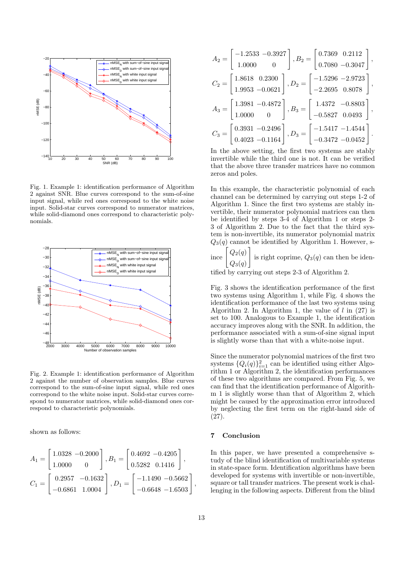

Fig. 1. Example 1: identification performance of Algorithm 2 against SNR. Blue curves correspond to the sum-of-sine input signal, while red ones correspond to the white noise input. Solid-star curves correspond to numerator matrices, while solid-diamond ones correspond to characteristic polynomials.



Fig. 2. Example 1: identification performance of Algorithm 2 against the number of observation samples. Blue curves correspond to the sum-of-sine input signal, while red ones correspond to the white noise input. Solid-star curves correspond to numerator matrices, while solid-diamond ones correspond to characteristic polynomials.

shown as follows:

$$
\begin{aligned} A_1 &= \begin{bmatrix} 1.0328 & -0.2000 \\ 1.0000 & 0 \end{bmatrix}, B_1 = \begin{bmatrix} 0.4692 & -0.4205 \\ 0.5282 & 0.1416 \end{bmatrix}, \\ C_1 &= \begin{bmatrix} 0.2957 & -0.1632 \\ -0.6861 & 1.0004 \end{bmatrix}, D_1 = \begin{bmatrix} -1.1490 & -0.5662 \\ -0.6648 & -1.6503 \end{bmatrix}, \end{aligned}
$$

| $A_2 = \left[\begin{array}{cc} -1.2533 & -0.3927 \\ 1.0000 & 0 \end{array}\right], B_2 = \left[\begin{array}{cc} 0.7369 & 0.2112 \\ 0.7080 & -0.3047 \end{array}\right],$     |  |
|-------------------------------------------------------------------------------------------------------------------------------------------------------------------------------|--|
| $C_2 = \left[\begin{array}{cc} 1.8618 & 0.2300\\ 1.9953 & -0.0621 \end{array}\right], D_2 = \left[\begin{array}{cc} -1.5296 & -2.9723\\ -2.2695 & 0.8078 \end{array}\right],$ |  |
| $A_3 = \left[\begin{array}{rr} 1.3981 & -0.4872 \\ 1.0000 & 0 \end{array}\right], B_3 = \left[\begin{array}{rr} 1.4372 & -0.8803 \\ -0.5827 & 0.0493 \end{array}\right],$     |  |
| $C_3 = \begin{bmatrix} 0.3931 & -0.2496 \\ 0.4023 & -0.1164 \end{bmatrix}$ , $D_3 = \begin{bmatrix} -1.5417 & -1.4544 \\ -0.3472 & -0.0452 \end{bmatrix}$ .                   |  |

In the above setting, the first two systems are stably invertible while the third one is not. It can be verified that the above three transfer matrices have no common zeros and poles.

In this example, the characteristic polynomial of each channel can be determined by carrying out steps 1-2 of Algorithm 1. Since the first two systems are stably invertible, their numerator polynomial matrices can then be identified by steps 3-4 of Algorithm 1 or steps 2- 3 of Algorithm 2. Due to the fact that the third system is non-invertible, its numerator polynomial matrix  $Q_3(q)$  cannot be identified by Algorithm 1. However, s-

ince  $Q_2(q)$ ] *Q*3(*q*) is right coprime,  $Q_3(q)$  can then be iden-

tified by carrying out steps 2-3 of Algorithm 2.

Fig. 3 shows the identification performance of the first two systems using Algorithm 1, while Fig. 4 shows the identification performance of the last two systems using Algorithm 2. In Algorithm 1, the value of *l* in (27) is set to 100. Analogous to Example 1, the identification accuracy improves along with the SNR. In addition, the performance associated with a sum-of-sine signal input is slightly worse than that with a white-noise input.

Since the numerator polynomial matrices of the first two systems  $\{Q_i(q)\}_{i=1}^2$  can be identified using either Algorithm 1 or Algorithm 2, the identification performances of these two algorithms are compared. From Fig. 5, we can find that the identification performance of Algorithm 1 is slightly worse than that of Algorithm 2, which might be caused by the approximation error introduced by neglecting the first term on the right-hand side of (27).

## **7 Conclusion**

In this paper, we have presented a comprehensive study of the blind identification of multivariable systems in state-space form. Identification algorithms have been developed for systems with invertible or non-invertible, square or tall transfer matrices. The present work is challenging in the following aspects. Different from the blind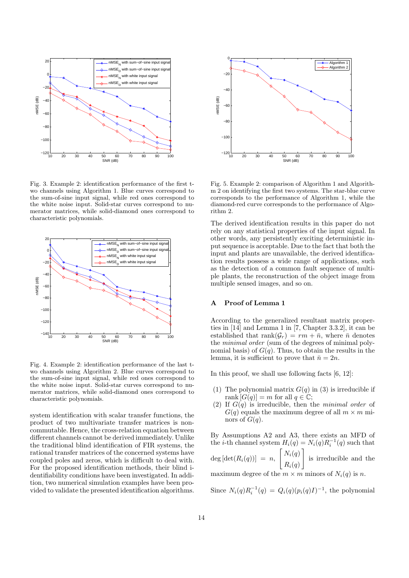

Fig. 3. Example 2: identification performance of the first two channels using Algorithm 1. Blue curves correspond to the sum-of-sine input signal, while red ones correspond to the white noise input. Solid-star curves correspond to numerator matrices, while solid-diamond ones correspond to characteristic polynomials.



Fig. 4. Example 2: identification performance of the last two channels using Algorithm 2. Blue curves correspond to the sum-of-sine input signal, while red ones correspond to the white noise input. Solid-star curves correspond to numerator matrices, while solid-diamond ones correspond to characteristic polynomials.

system identification with scalar transfer functions, the product of two multivariate transfer matrices is noncommutable. Hence, the cross-relation equation between different channels cannot be derived immediately. Unlike the traditional blind identification of FIR systems, the rational transfer matrices of the concerned systems have coupled poles and zeros, which is difficult to deal with. For the proposed identification methods, their blind identifiability conditions have been investigated. In addition, two numerical simulation examples have been provided to validate the presented identification algorithms.



Fig. 5. Example 2: comparison of Algorithm 1 and Algorithm 2 on identifying the first two systems. The star-blue curve corresponds to the performance of Algorithm 1, while the diamond-red curve corresponds to the performance of Algorithm 2.

The derived identification results in this paper do not rely on any statistical properties of the input signal. In other words, any persistently exciting deterministic input sequence is acceptable. Due to the fact that both the input and plants are unavailable, the derived identification results possess a wide range of applications, such as the detection of a common fault sequence of multiple plants, the reconstruction of the object image from multiple sensed images, and so on.

## **A Proof of Lemma 1**

According to the generalized resultant matrix properties in [14] and Lemma 1 in [7, Chapter 3.3.2], it can be established that  $\text{rank}(\mathcal{G}_r) = rm + \bar{n}$ , where  $\bar{n}$  denotes the *minimal order* (sum of the degrees of minimal polynomial basis) of  $G(q)$ . Thus, to obtain the results in the lemma, it is sufficient to prove that  $\bar{n} = 2n$ .

In this proof, we shall use following facts [6, 12]:

- (1) The polynomial matrix  $G(q)$  in (3) is irreducible if rank  $[G(q)] = m$  for all  $q \in \mathbb{C}$ ;
- (2) If *G*(*q*) is irreducible, then the *minimal order* of  $G(q)$  equals the maximum degree of all  $m \times m$  minors of  $G(q)$ .

By Assumptions A2 and A3, there exists an MFD of the *i*-th channel system  $H_i(q) = N_i(q)R_i^{-1}(q)$  such that  $\deg$  [ $\det(R_i(q))$ ] = *n*,  $\bigl[ N_i(q)$  $R_i(q)$ ] is irreducible and the maximum degree of the  $m \times m$  minors of  $N_i(q)$  is *n*.

Since  $N_i(q)R_i^{-1}(q) = Q_i(q)(p_i(q)I)^{-1}$ , the polynomial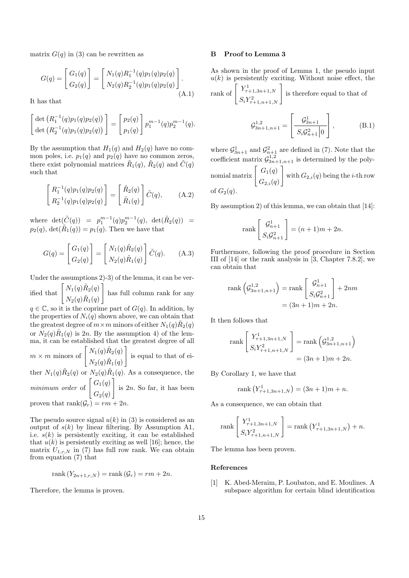matrix  $G(q)$  in (3) can be rewritten as

$$
G(q) = \begin{bmatrix} G_1(q) \\ G_2(q) \end{bmatrix} = \begin{bmatrix} N_1(q)R_1^{-1}(q)p_1(q)p_2(q) \\ N_2(q)R_2^{-1}(q)p_1(q)p_2(q) \end{bmatrix} .
$$
\n(A.1)

It has that

$$
\begin{bmatrix}\n\det (R_1^{-1}(q)p_1(q)p_2(q)) \\
\det (R_2^{-1}(q)p_1(q)p_2(q))\n\end{bmatrix} =\n\begin{bmatrix}\np_2(q) \\
p_1(q)\n\end{bmatrix} p_1^{m-1}(q) p_2^{m-1}(q).
$$

By the assumption that  $H_1(q)$  and  $H_2(q)$  have no common poles, i.e.  $p_1(q)$  and  $p_2(q)$  have no common zeros, there exist polynomial matrices  $\tilde{R}_1(q)$ ,  $\tilde{R}_2(q)$  and  $\tilde{C}(q)$ such that

$$
\begin{bmatrix} R_1^{-1}(q)p_1(q)p_2(q) \\ R_2^{-1}(q)p_1(q)p_2(q) \end{bmatrix} = \begin{bmatrix} \tilde{R}_2(q) \\ \tilde{R}_1(q) \end{bmatrix} \tilde{C}(q), \quad (A.2)
$$

where  $det(\tilde{C}(q)) = p_1^{m-1}(q)p_2^{m-1}(q)$ ,  $det(\tilde{R}_2(q)) =$  $p_2(q)$ , det $(\tilde{R}_1(q)) = p_1(q)$ . Then we have that

$$
G(q) = \begin{bmatrix} G_1(q) \\ G_2(q) \end{bmatrix} = \begin{bmatrix} N_1(q)\tilde{R}_2(q) \\ N_2(q)\tilde{R}_1(q) \end{bmatrix} \tilde{C}(q). \quad (A.3)
$$

Under the assumptions 2)-3) of the lemma, it can be verified that  $\left[N_1(q)\tilde{R}_2(q)\right]$ ]

 $N_2(q)\tilde{R}_1(q)$ has full column rank for any

 $q \in \mathbb{C}$ , so it is the coprime part of  $G(q)$ . In addition, by the properties of  $N_i(q)$  shown above, we can obtain that the greatest degree of  $m \times m$  minors of either  $N_1(q)\tilde{R}_2(q)$ or  $N_2(q)\tilde{R}_1(q)$  is 2*n*. By the assumption 4) of the lemma, it can be established that the greatest degree of all ]

 $m \times m$  minors of  $\left[N_1(q)\tilde{R}_2(q)\right]$  $N_2(q)\tilde{R}_1(q)$ is equal to that of ei-

ther  $N_1(q)\tilde{R}_2(q)$  or  $N_2(q)\tilde{R}_1(q)$ . As a consequence, the *minimum order* of  $\left[ G_1(q) \right]$  $G_2(q)$ ] is 2*n*. So far, it has been

proven that rank $(\mathcal{G}_r) = rm + 2n$ .

The pseudo source signal  $u(k)$  in (3) is considered as an output of  $s(k)$  by linear filtering. By Assumption A1, i.e.  $s(k)$  is persistently exciting, it can be established that  $u(k)$  is persistently exciting as well [16]; hence, the matrix  $U_{1,r,N}$  in (7) has full row rank. We can obtain from equation (7) that

$$
rank(Y_{2n+1,r,N}) = rank(G_r) = rm + 2n.
$$

Therefore, the lemma is proven.

## **B Proof to Lemma 3**

As shown in the proof of Lemma 1, the pseudo input  $u(k)$  is persistently exciting. Without noise effect, the  $Y_{\tau}^1$ 

rank of 
$$
\begin{bmatrix} Y^1_{\tau+1,3n+1,N} \\ S_i Y^2_{\tau+1,n+1,N} \end{bmatrix}
$$
 is therefore equal to that of

$$
\mathcal{G}_{3n+1,n+1}^{1,2} = \left[\frac{\mathcal{G}_{3n+1}^1}{S_i \mathcal{G}_{n+1}^2 |0}\right],\tag{B.1}
$$

where  $\mathcal{G}_{3n+1}^1$  and  $\mathcal{G}_{n+1}^2$  are defined in (7). Note that the coefficient matrix  $\mathcal{G}_{3n+1,n+1}^{1,2}$  is determined by the polynomial matrix  $\begin{bmatrix} G_1(q) \\ \vdots \end{bmatrix}$  $G_{2,i}(q)$ ] with  $G_{2,i}(q)$  being the *i*-th row of  $G_2(q)$ .

By assumption 2) of this lemma, we can obtain that [14]:

$$
\operatorname{rank}\left[\frac{\mathcal{G}_{n+1}^1}{S_i \mathcal{G}_{n+1}^2}\right] = (n+1)m + 2n.
$$

Furthermore, following the proof procedure in Section III of [14] or the rank analysis in [3, Chapter 7.8.2], we can obtain that

rank 
$$
\left(\mathcal{G}_{3n+1,n+1}^{1,2}\right)
$$
 = rank  $\left[\begin{array}{c} \mathcal{G}_{n+1}^1\\ S_i\mathcal{G}_{n+1}^2 \end{array}\right]$  + 2nm  
=  $(3n+1)m + 2n$ .

It then follows that

rank 
$$
\begin{bmatrix} Y_{\tau+1,3n+1,N}^1 \\ S_i Y_{\tau+1,n+1,N}^2 \end{bmatrix}
$$
 = rank  $\left( \mathcal{G}_{3n+1,n+1}^{1,2} \right)$   
=  $(3n+1)m + 2n$ .

By Corollary 1, we have that

rank 
$$
(Y^1_{\tau+1,3n+1,N}) = (3n+1)m + n
$$
.

As a consequence, we can obtain that

rank 
$$
\begin{bmatrix} Y_{\tau+1,3n+1,N}^1 \ S_i Y_{\tau+1,n+1,N}^2 \end{bmatrix}
$$
 = rank  $(Y_{\tau+1,3n+1,N}^1) + n$ .

The lemma has been proven.

#### **References**

[1] K. Abed-Meraim, P. Loubaton, and E. Moulines. A subspace algorithm for certain blind identification